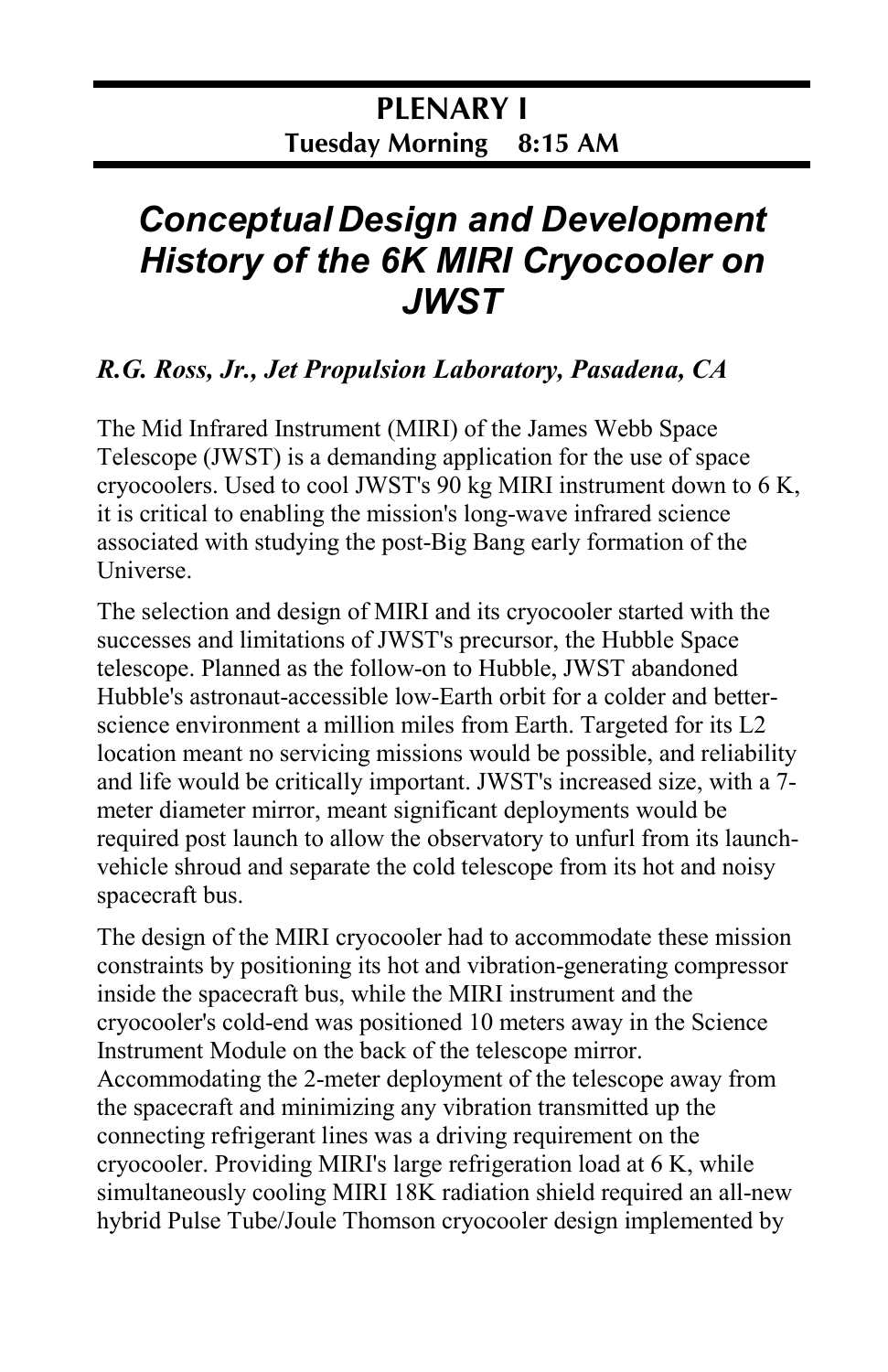## *Conceptual Design and Development History of the 6K MIRI Cryocooler on JWST*

## *R.G. Ross, Jr., Jet Propulsion Laboratory, Pasadena, CA*

The Mid Infrared Instrument (MIRI) of the James Webb Space Telescope (JWST) is a demanding application for the use of space cryocoolers. Used to cool JWST's 90 kg MIRI instrument down to 6 K, it is critical to enabling the mission's long-wave infrared science associated with studying the post-Big Bang early formation of the Universe.

The selection and design of MIRI and its cryocooler started with the successes and limitations of JWST's precursor, the Hubble Space telescope. Planned as the follow-on to Hubble, JWST abandoned Hubble's astronaut-accessible low-Earth orbit for a colder and betterscience environment a million miles from Earth. Targeted for its L2 location meant no servicing missions would be possible, and reliability and life would be critically important. JWST's increased size, with a 7 meter diameter mirror, meant significant deployments would be required post launch to allow the observatory to unfurl from its launchvehicle shroud and separate the cold telescope from its hot and noisy spacecraft bus.

The design of the MIRI cryocooler had to accommodate these mission constraints by positioning its hot and vibration-generating compressor inside the spacecraft bus, while the MIRI instrument and the cryocooler's cold-end was positioned 10 meters away in the Science Instrument Module on the back of the telescope mirror. Accommodating the 2-meter deployment of the telescope away from the spacecraft and minimizing any vibration transmitted up the connecting refrigerant lines was a driving requirement on the cryocooler. Providing MIRI's large refrigeration load at 6 K, while simultaneously cooling MIRI 18K radiation shield required an all-new hybrid Pulse Tube/Joule Thomson cryocooler design implemented by